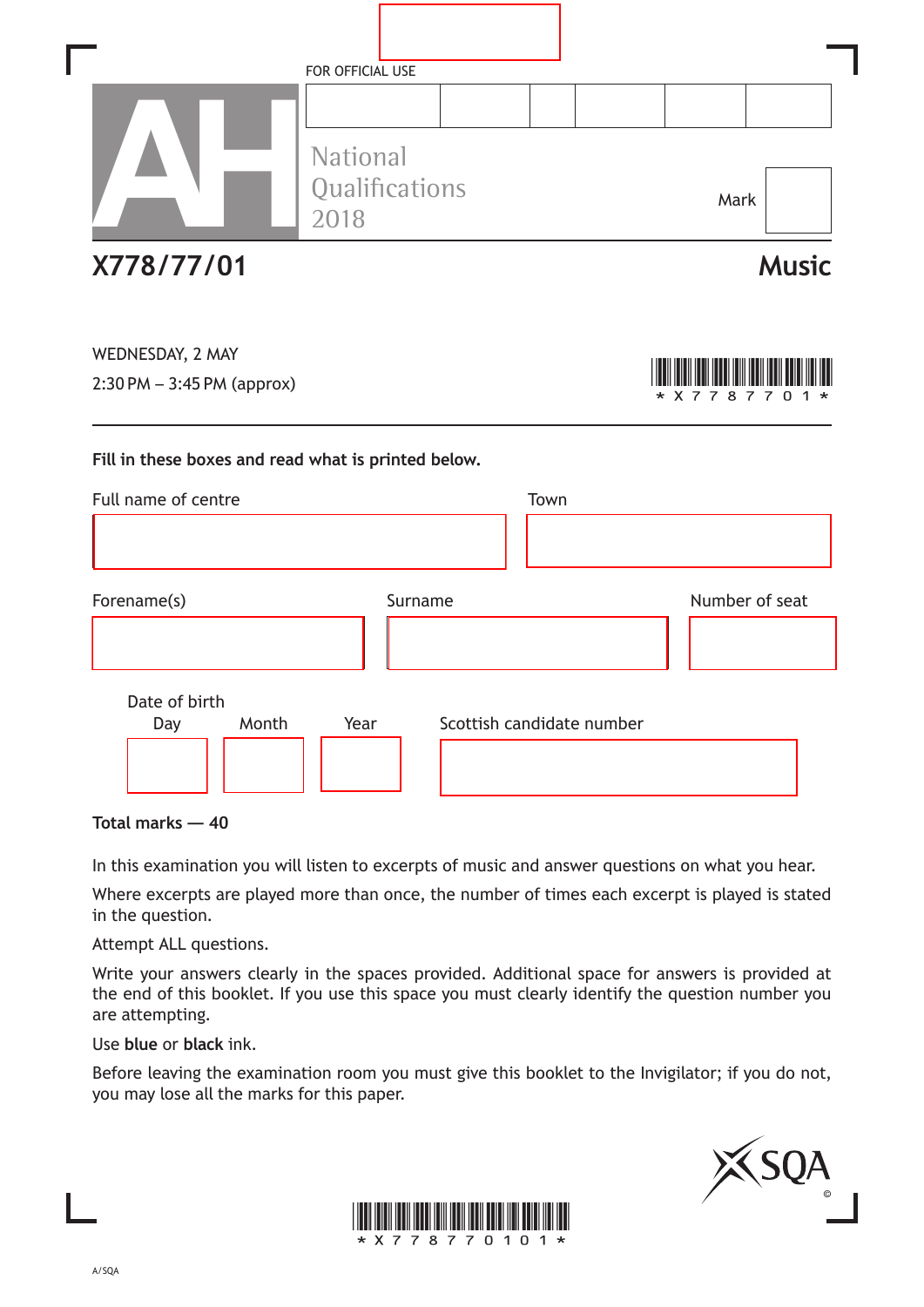|                                                                                           | FOR OFFICIAL USE                          |                           |      |  |                |                                |  |
|-------------------------------------------------------------------------------------------|-------------------------------------------|---------------------------|------|--|----------------|--------------------------------|--|
|                                                                                           |                                           |                           |      |  |                |                                |  |
|                                                                                           | <b>National</b><br>Qualifications<br>2018 |                           |      |  | Mark           |                                |  |
| X778/77/01                                                                                |                                           |                           |      |  |                | <b>Music</b>                   |  |
| WEDNESDAY, 2 MAY<br>$2:30$ PM $-3:45$ PM (approx)                                         |                                           |                           |      |  | X 7<br>87      | $\overline{7}$<br><sup>0</sup> |  |
|                                                                                           |                                           |                           |      |  |                |                                |  |
|                                                                                           |                                           |                           |      |  |                |                                |  |
|                                                                                           |                                           |                           | Town |  |                |                                |  |
|                                                                                           |                                           |                           |      |  |                |                                |  |
| Fill in these boxes and read what is printed below.<br>Full name of centre<br>Forename(s) | Surname                                   |                           |      |  | Number of seat |                                |  |
|                                                                                           |                                           |                           |      |  |                |                                |  |
| Date of birth                                                                             |                                           |                           |      |  |                |                                |  |
| Month<br>Day                                                                              | Year                                      | Scottish candidate number |      |  |                |                                |  |

**Total marks — 40**

In this examination you will listen to excerpts of music and answer questions on what you hear.

Where excerpts are played more than once, the number of times each excerpt is played is stated in the question.

Attempt ALL questions.

Write your answers clearly in the spaces provided. Additional space for answers is provided at the end of this booklet. If you use this space you must clearly identify the question number you are attempting.

Use **blue** or **black** ink.

Before leaving the examination room you must give this booklet to the Invigilator; if you do not, you may lose all the marks for this paper.



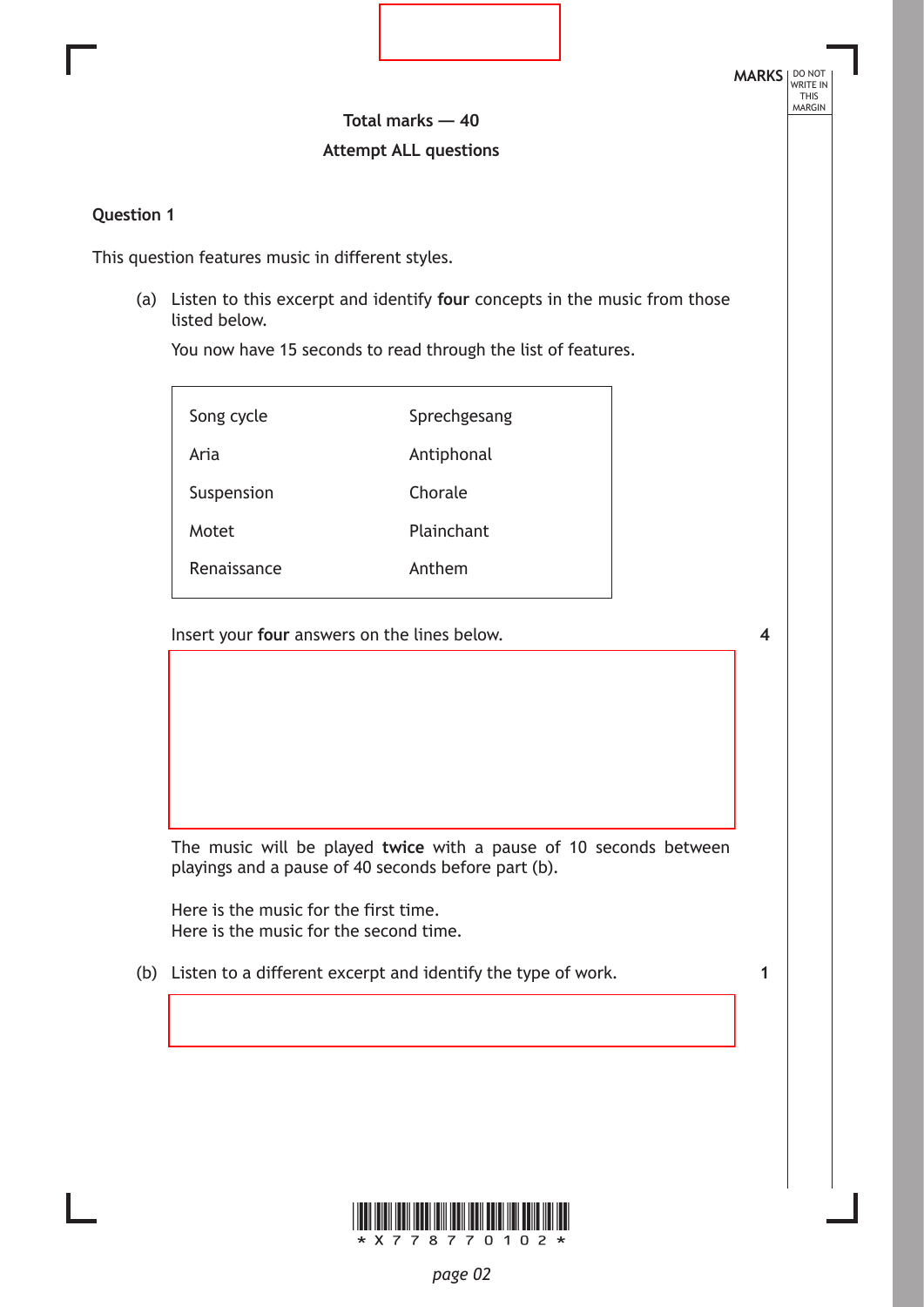**Total marks — 40 Attempt ALL questions**

# **Question 1**

This question features music in different styles.

(a) Listen to this excerpt and identify **four** concepts in the music from those listed below.

You now have 15 seconds to read through the list of features.

| Song cycle  | Sprechgesang |
|-------------|--------------|
| Aria        | Antiphonal   |
| Suspension  | Chorale      |
| Motet       | Plainchant   |
| Renaissance | Anthem       |

Insert your **four** answers on the lines below.

**4**

**MARKS** NO NOT

THIS<br>MARGIN

The music will be played **twice** with a pause of 10 seconds between playings and a pause of 40 seconds before part (b).

Here is the music for the first time. Here is the music for the second time.

(b) Listen to a different excerpt and identify the type of work.

**1**

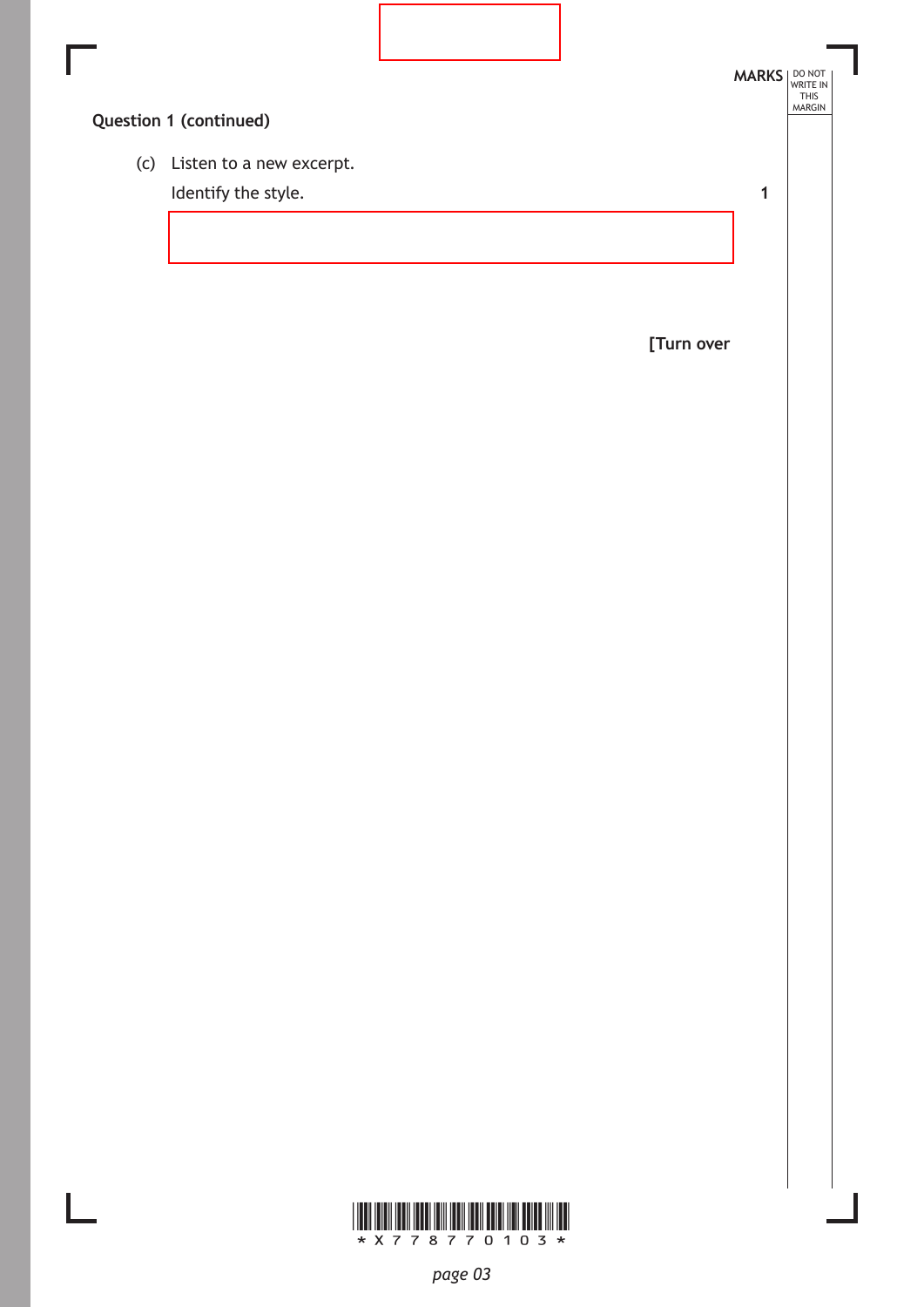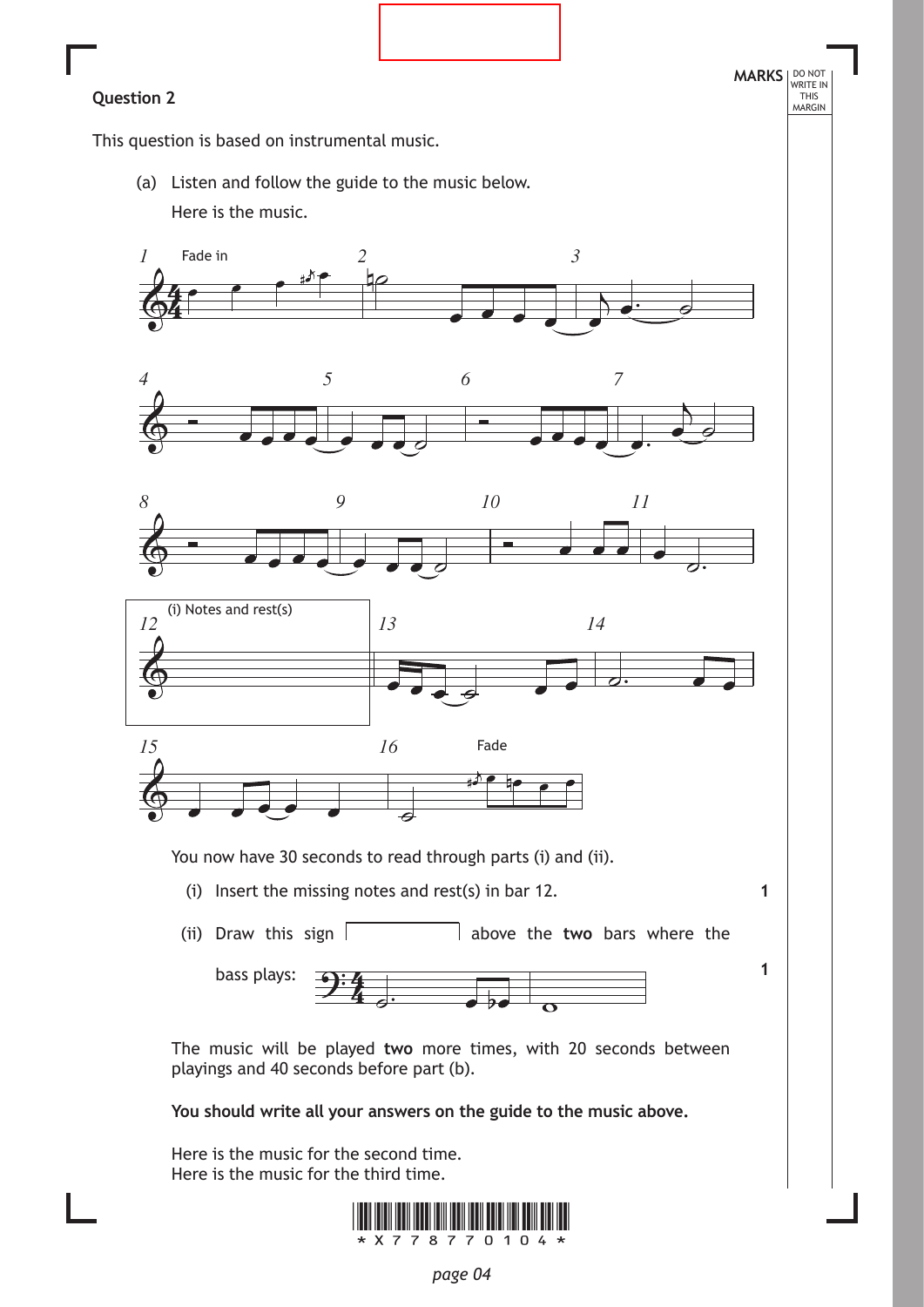**1**

**1**

This question is based on instrumental music.

(a) Listen and follow the guide to the music below. Here is the music.











You now have 30 seconds to read through parts (i) and (ii).

- (i) Insert the missing notes and rest(s) in bar 12.
- (ii) Draw this sign  $\vert$  above the **two** bars where the



The music will be played **two** more times, with 20 seconds between playings and 40 seconds before part (b).

**You should write all your answers on the guide to the music above.**

Here is the music for the second time. Here is the music for the third time.

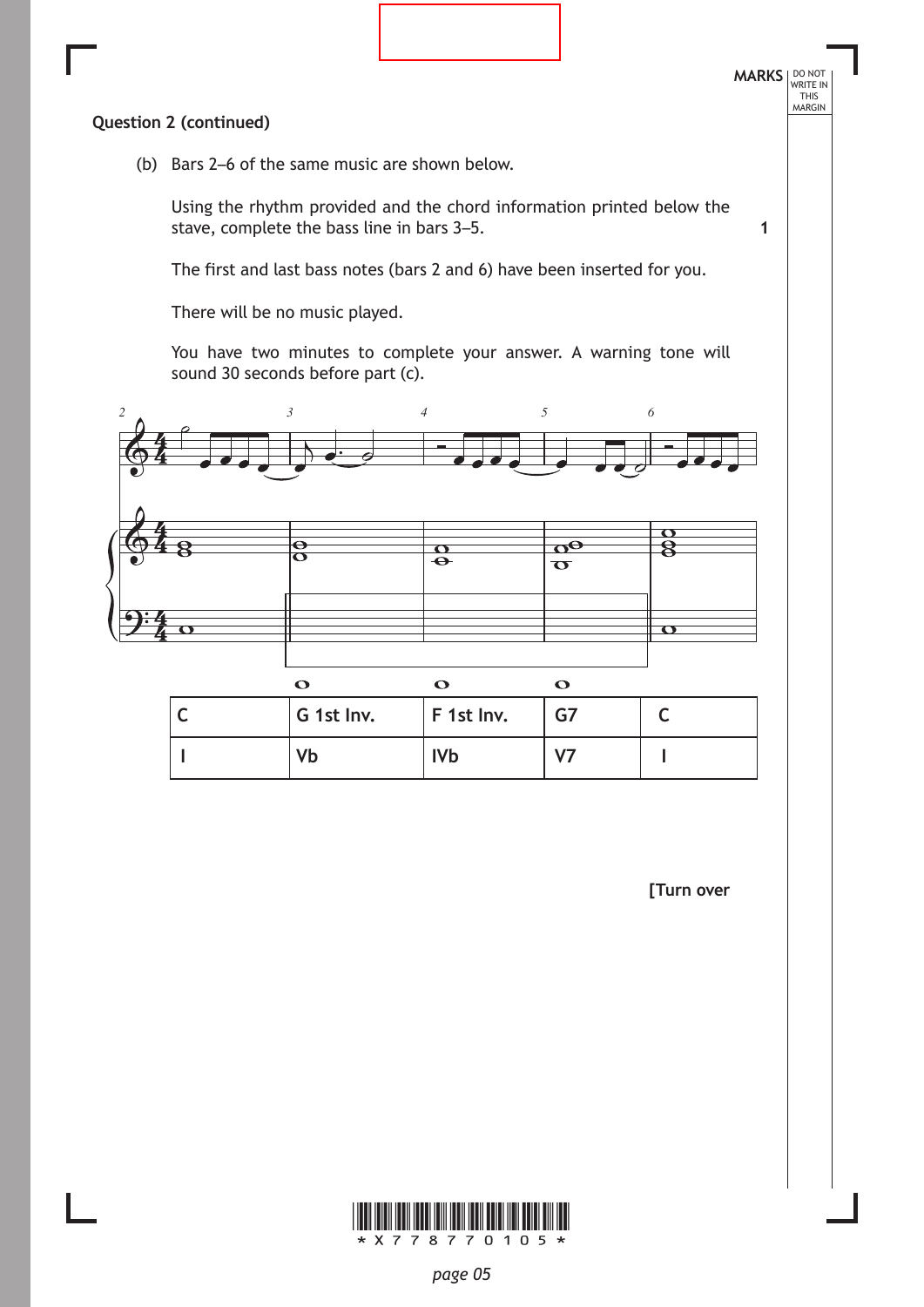

**[Turn over**

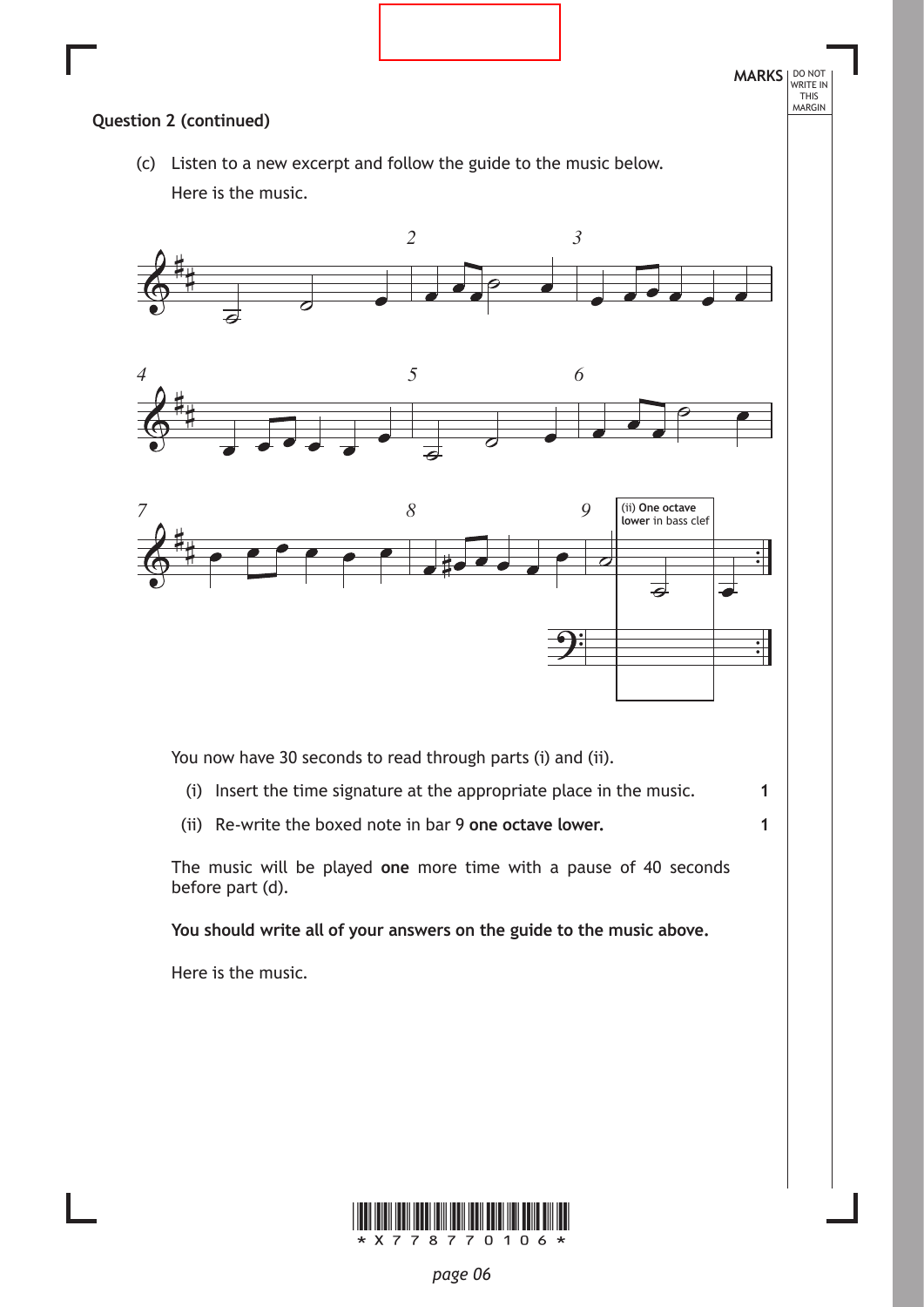

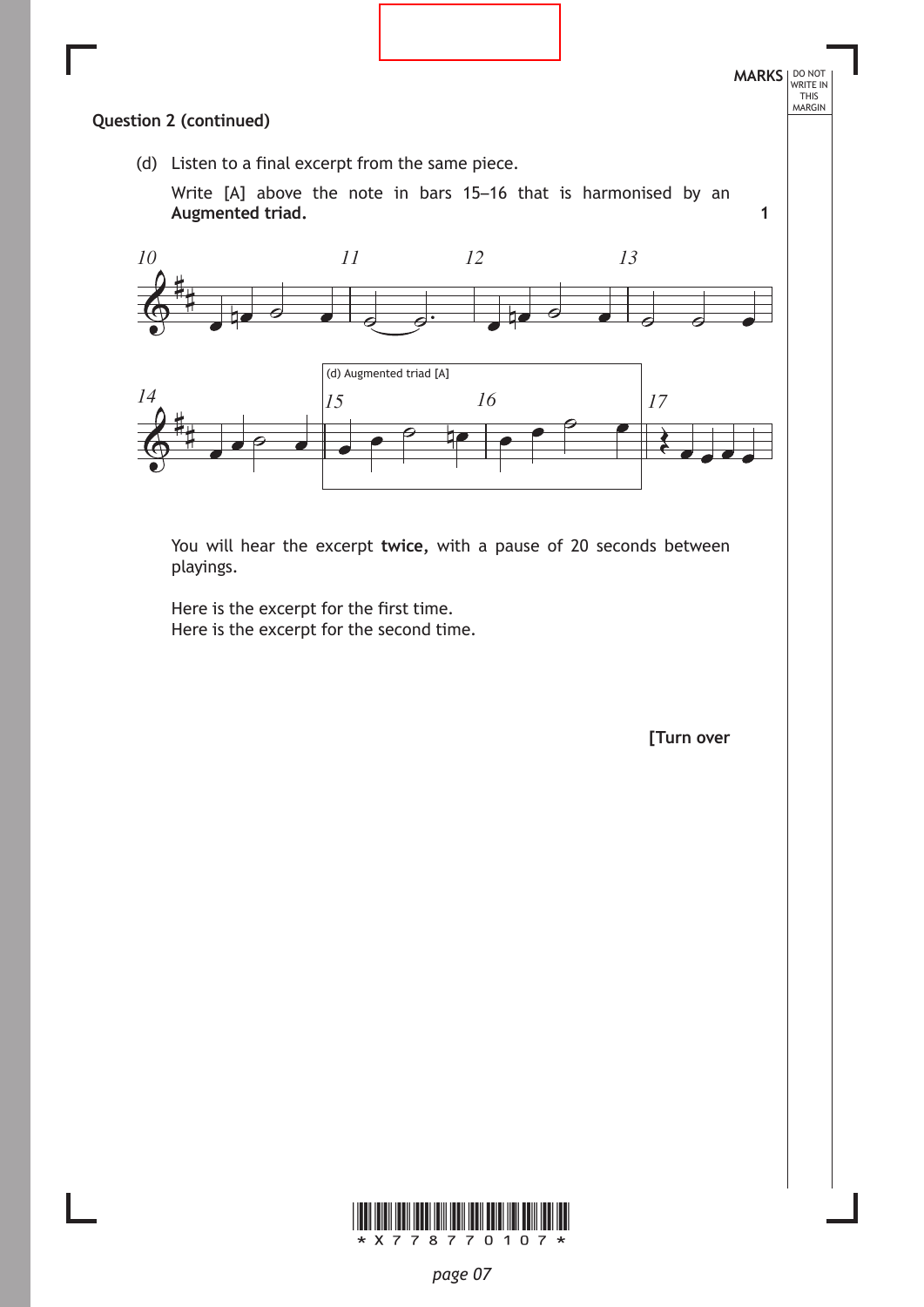

**1**

# **Question 2 (continued)**

(d) Listen to a final excerpt from the same piece.

Write [A] above the note in bars 15–16 that is harmonised by an **Augmented triad.** 



You will hear the excerpt **twice,** with a pause of 20 seconds between playings.

Here is the excerpt for the first time. Here is the excerpt for the second time.

**[Turn over**

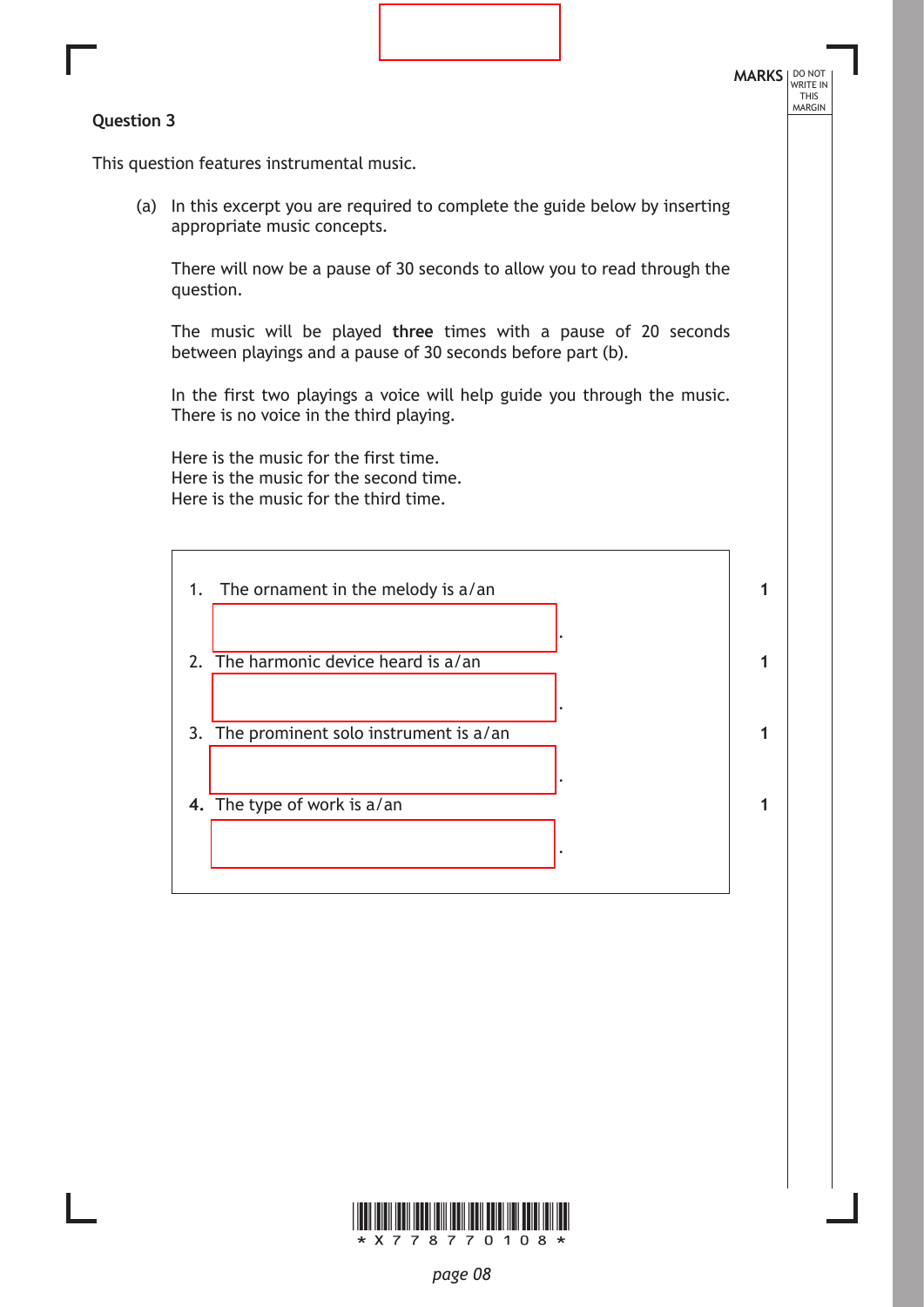### **Question 3**

**MARKS** NO NOT THIS<br>MARGIN

This question features instrumental music.

(a) In this excerpt you are required to complete the guide below by inserting appropriate music concepts.

There will now be a pause of 30 seconds to allow you to read through the question.

The music will be played **three** times with a pause of 20 seconds between playings and a pause of 30 seconds before part (b).

In the first two playings a voice will help guide you through the music. There is no voice in the third playing.

Here is the music for the first time. Here is the music for the second time. Here is the music for the third time.

| 1. | The ornament in the melody is a/an       |  |
|----|------------------------------------------|--|
|    | 2. The harmonic device heard is a/an     |  |
|    | 3. The prominent solo instrument is a/an |  |
|    | 4. The type of work is a/an              |  |
|    |                                          |  |

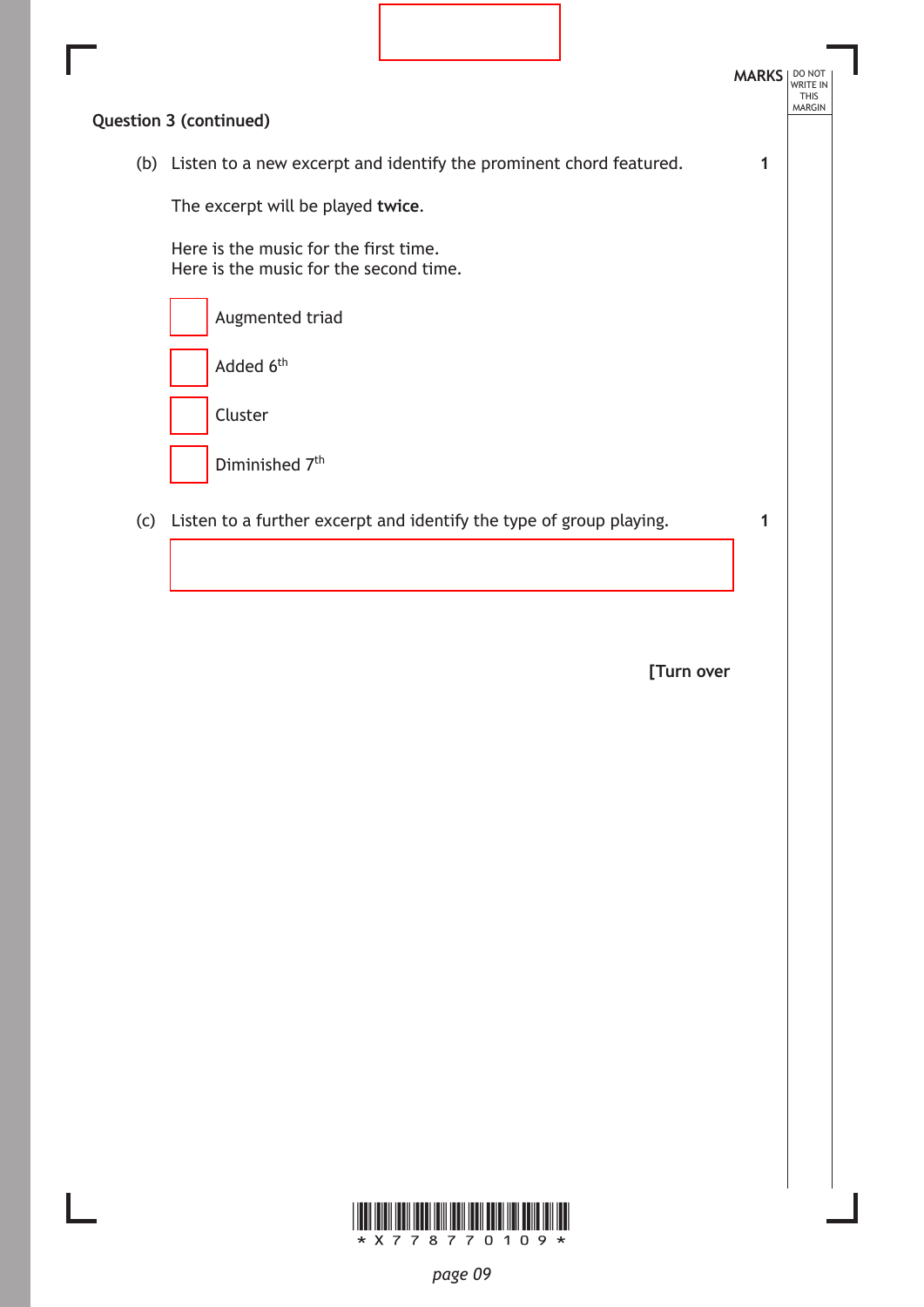|     |                                                                                 |  | <b>MARKS</b> | DO NOT<br><b>WRITE IN</b><br><b>THIS</b> |
|-----|---------------------------------------------------------------------------------|--|--------------|------------------------------------------|
|     | <b>Question 3 (continued)</b>                                                   |  |              | <b>MARGIN</b>                            |
|     | (b) Listen to a new excerpt and identify the prominent chord featured.          |  |              |                                          |
|     | The excerpt will be played twice.                                               |  |              |                                          |
|     | Here is the music for the first time.<br>Here is the music for the second time. |  |              |                                          |
|     | Augmented triad                                                                 |  |              |                                          |
|     | Added 6 <sup>th</sup>                                                           |  |              |                                          |
|     | Cluster                                                                         |  |              |                                          |
|     | Diminished 7 <sup>th</sup>                                                      |  |              |                                          |
| (c) | Listen to a further excerpt and identify the type of group playing.             |  |              |                                          |
|     |                                                                                 |  |              |                                          |

ı

**[Turn over**

1

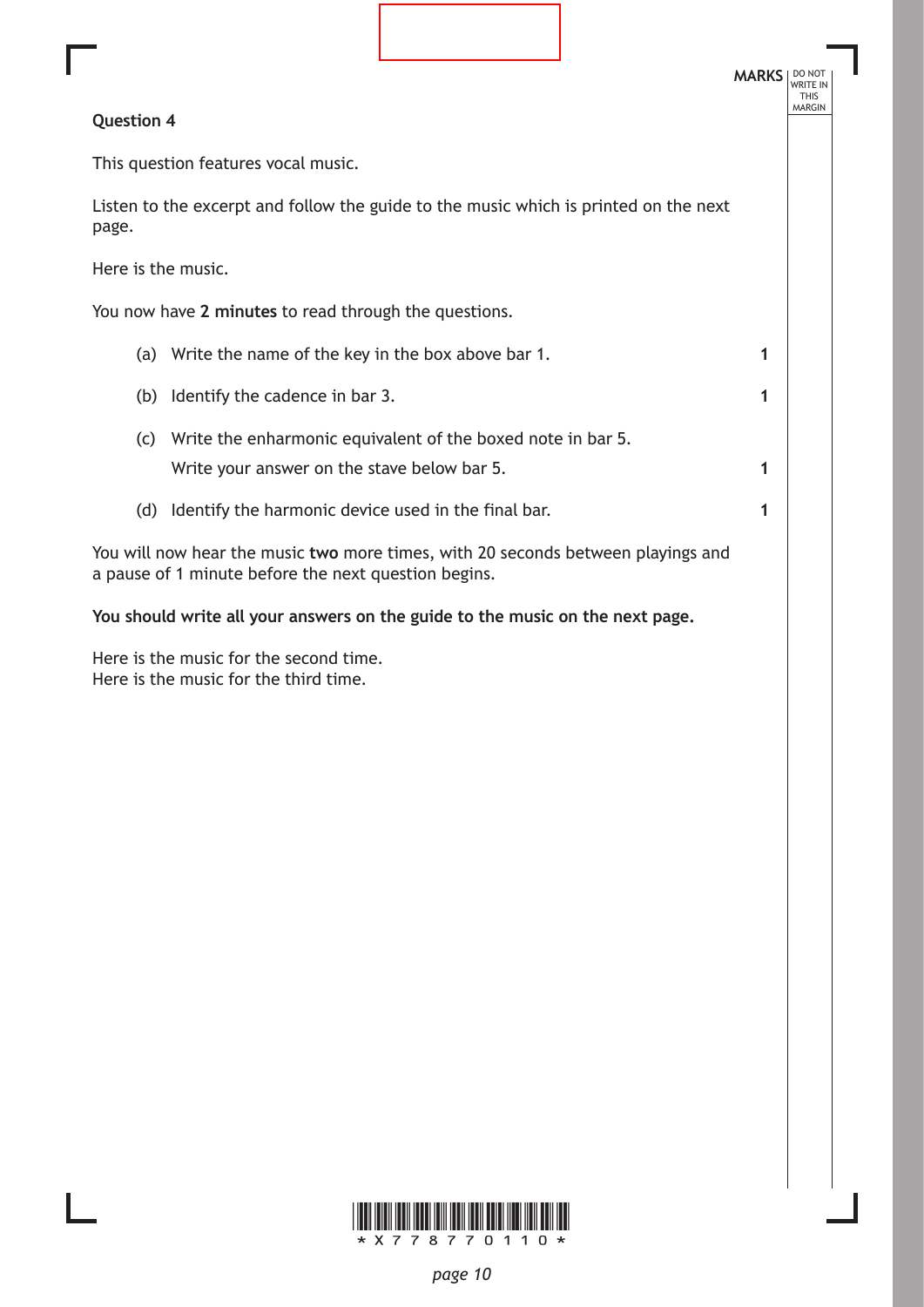|                    |                                                                                                                                          |  | <b>MARKS</b> | DO NOT<br><b>WRITE IN</b><br><b>THIS</b> |
|--------------------|------------------------------------------------------------------------------------------------------------------------------------------|--|--------------|------------------------------------------|
| <b>Question 4</b>  |                                                                                                                                          |  |              | <b>MARGIN</b>                            |
|                    | This question features vocal music.                                                                                                      |  |              |                                          |
| page.              | Listen to the excerpt and follow the guide to the music which is printed on the next                                                     |  |              |                                          |
| Here is the music. |                                                                                                                                          |  |              |                                          |
|                    | You now have 2 minutes to read through the questions.                                                                                    |  |              |                                          |
|                    | (a) Write the name of the key in the box above bar 1.                                                                                    |  | 1            |                                          |
|                    | (b) Identify the cadence in bar 3.                                                                                                       |  | 1            |                                          |
|                    | (c) Write the enharmonic equivalent of the boxed note in bar 5.                                                                          |  |              |                                          |
|                    | Write your answer on the stave below bar 5.                                                                                              |  | 1            |                                          |
| (d)                | Identify the harmonic device used in the final bar.                                                                                      |  | 1            |                                          |
|                    | You will now hear the music two more times, with 20 seconds between playings and<br>a pause of 1 minute before the next question begins. |  |              |                                          |
|                    | You should write all your answers on the guide to the music on the next page.                                                            |  |              |                                          |

Here is the music for the second time. Here is the music for the third time.

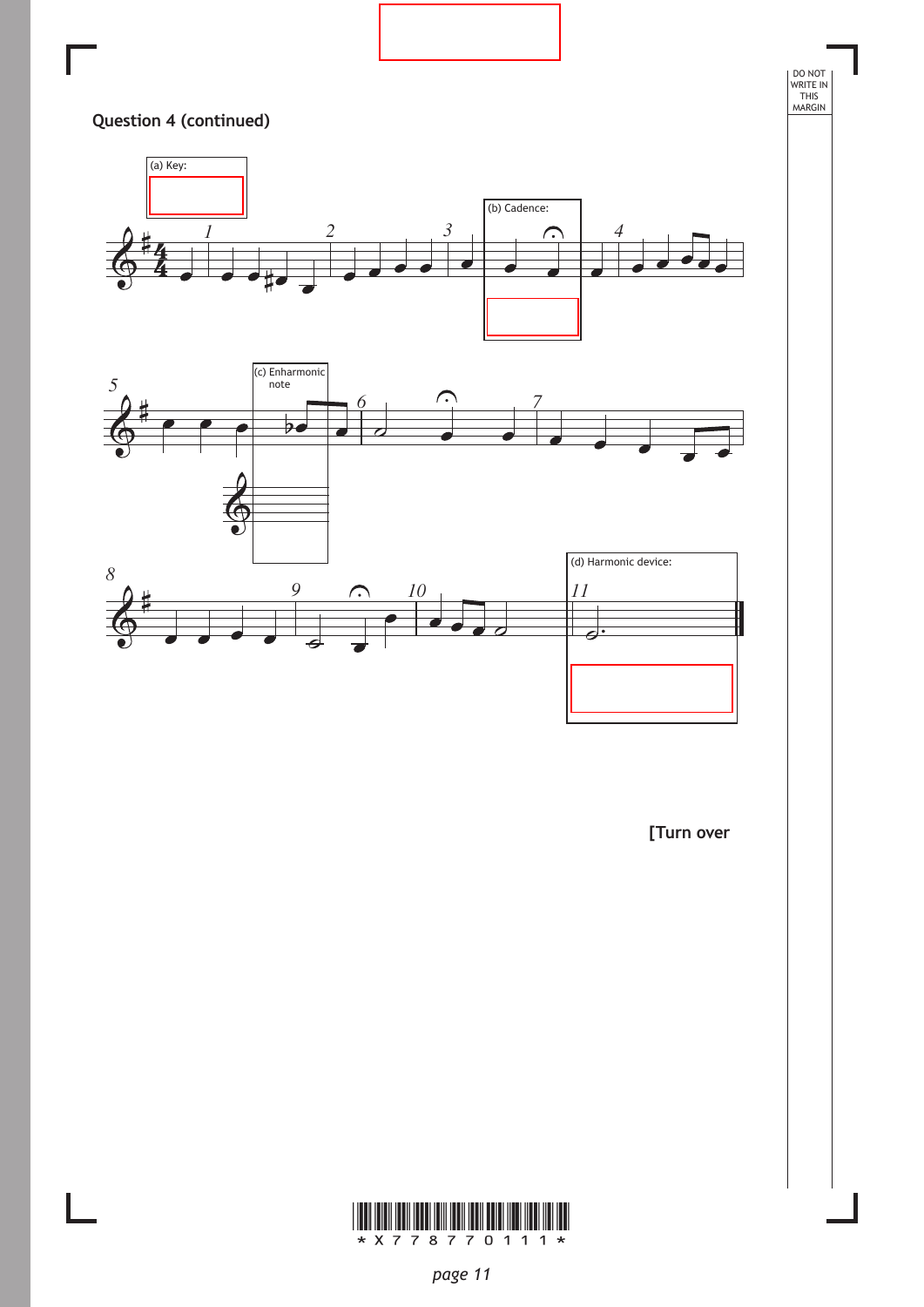

**[Turn over**

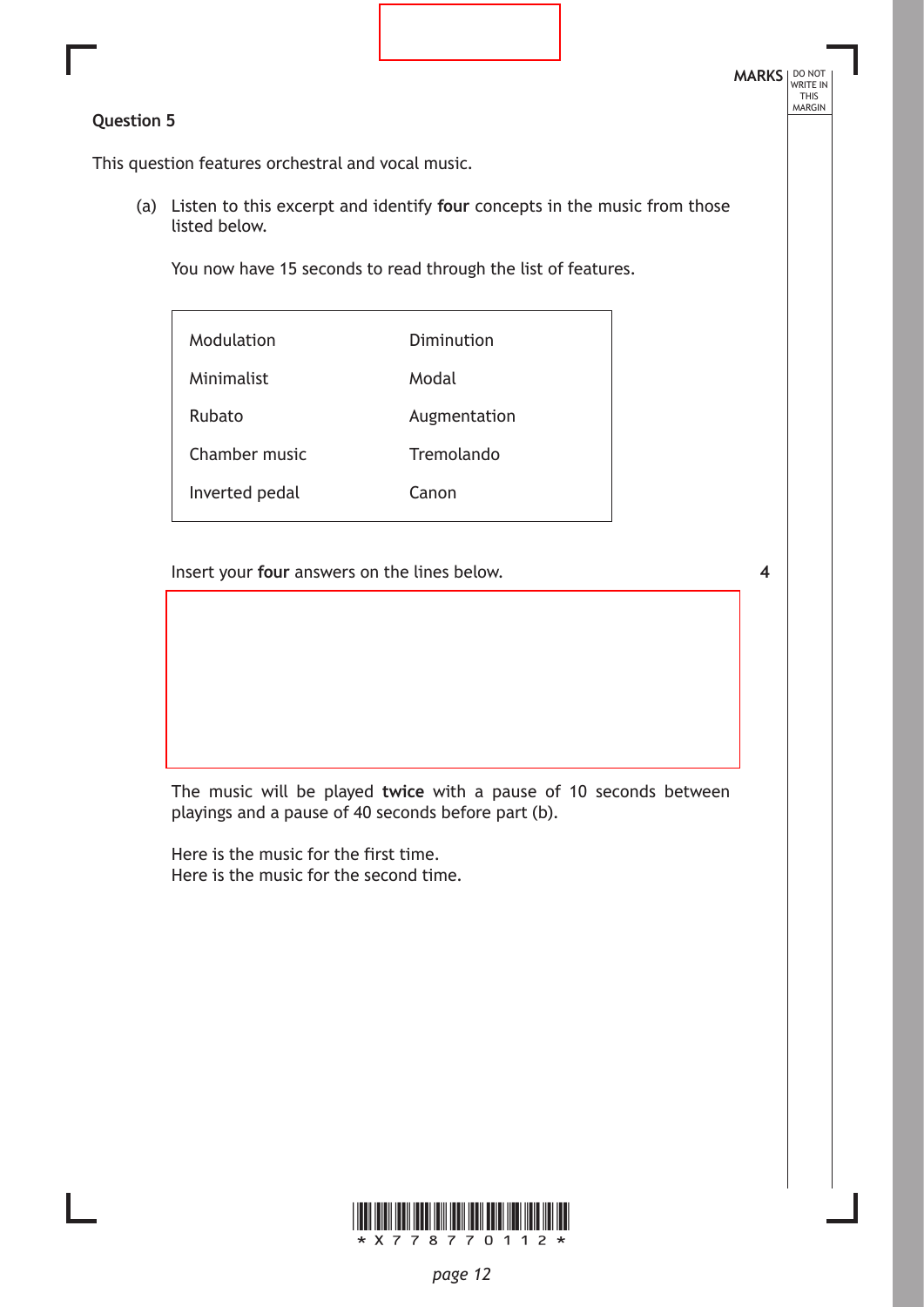# **Question 5**

This question features orchestral and vocal music.

(a) Listen to this excerpt and identify **four** concepts in the music from those listed below.

You now have 15 seconds to read through the list of features.

| Modulation     | Diminution   |
|----------------|--------------|
| Minimalist     | Modal        |
| Rubato         | Augmentation |
| Chamber music  | Tremolando   |
| Inverted pedal | Canon        |
|                |              |

Insert your **four** answers on the lines below.

**4**

The music will be played **twice** with a pause of 10 seconds between playings and a pause of 40 seconds before part (b).

Here is the music for the first time. Here is the music for the second time.

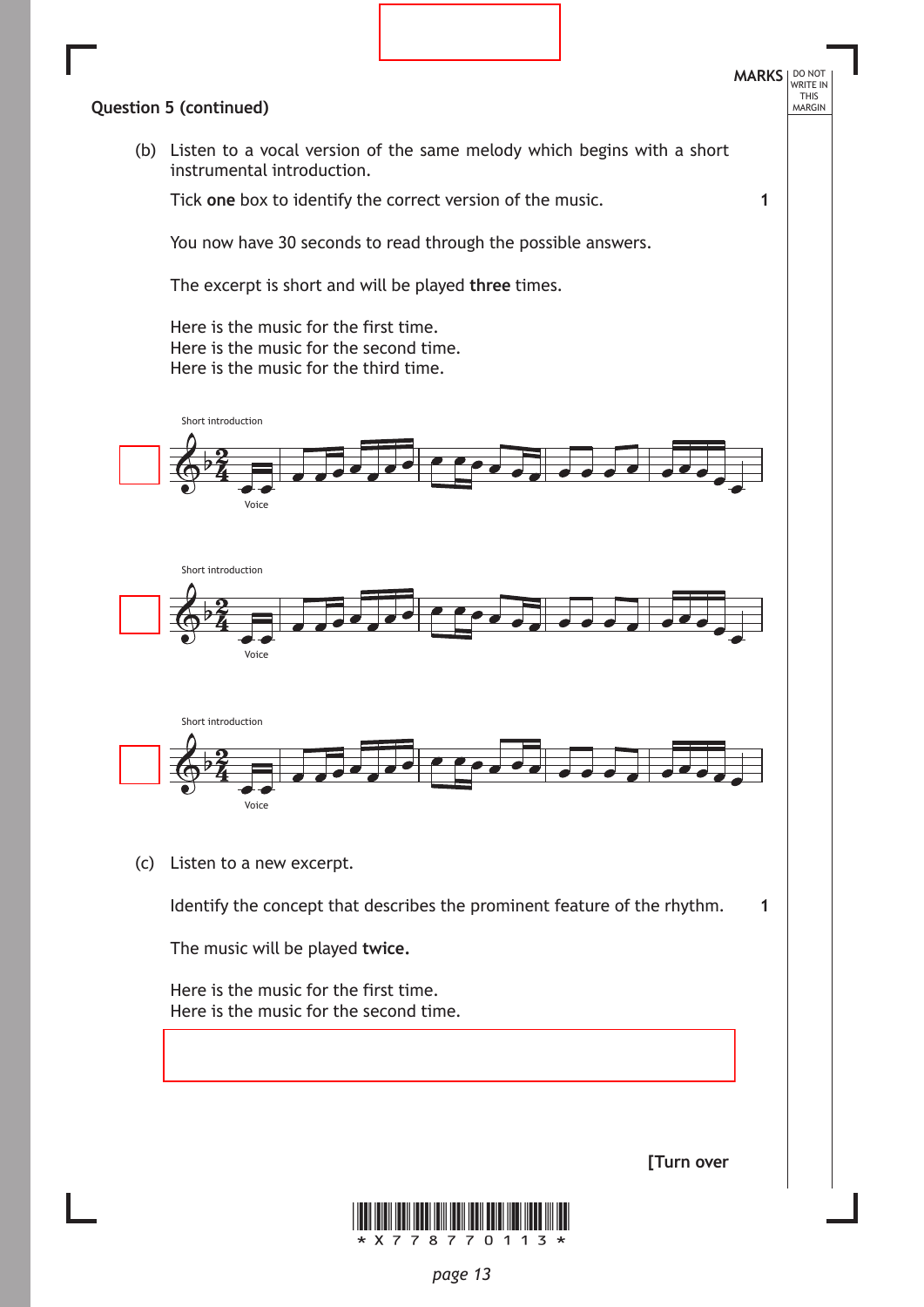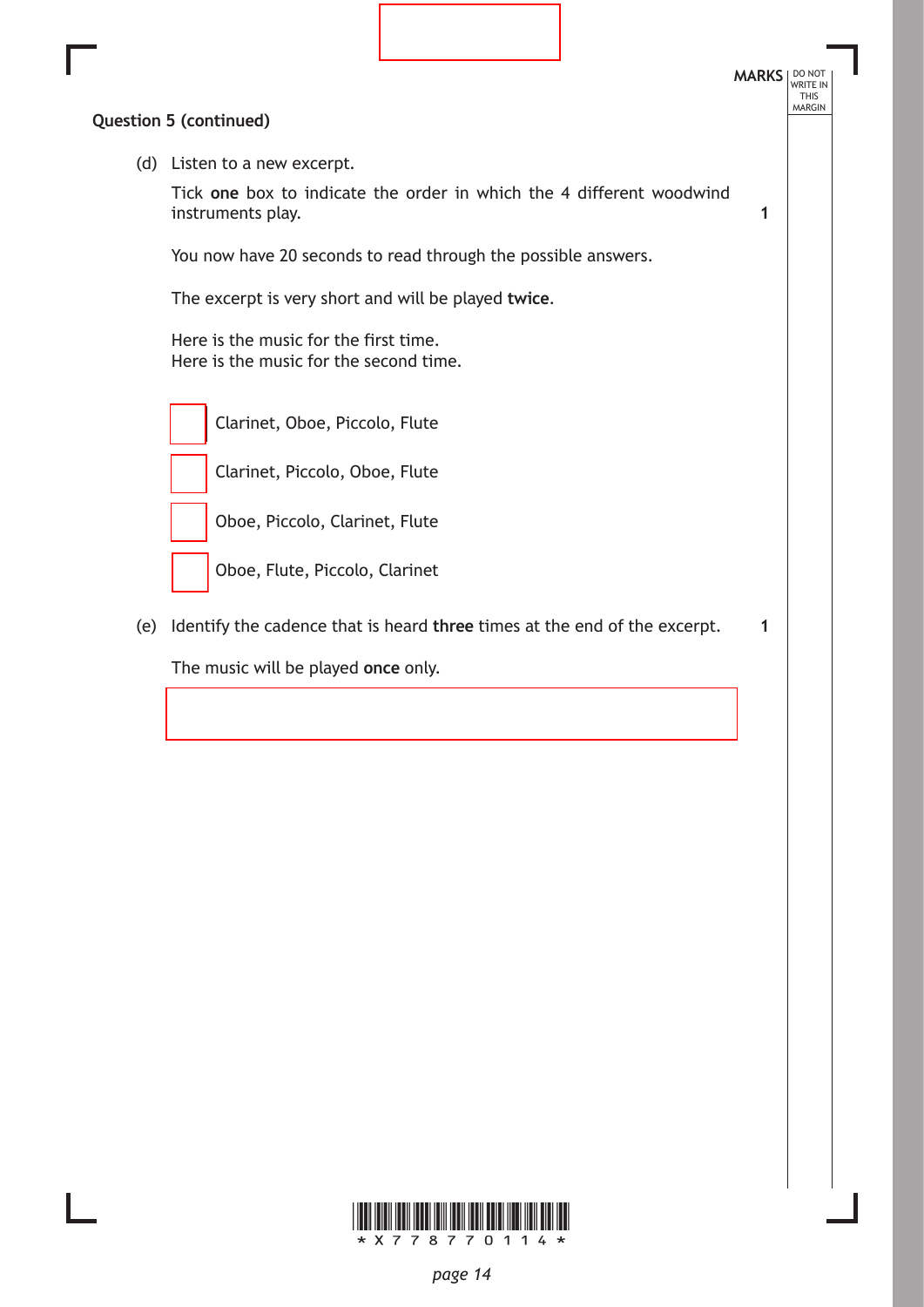

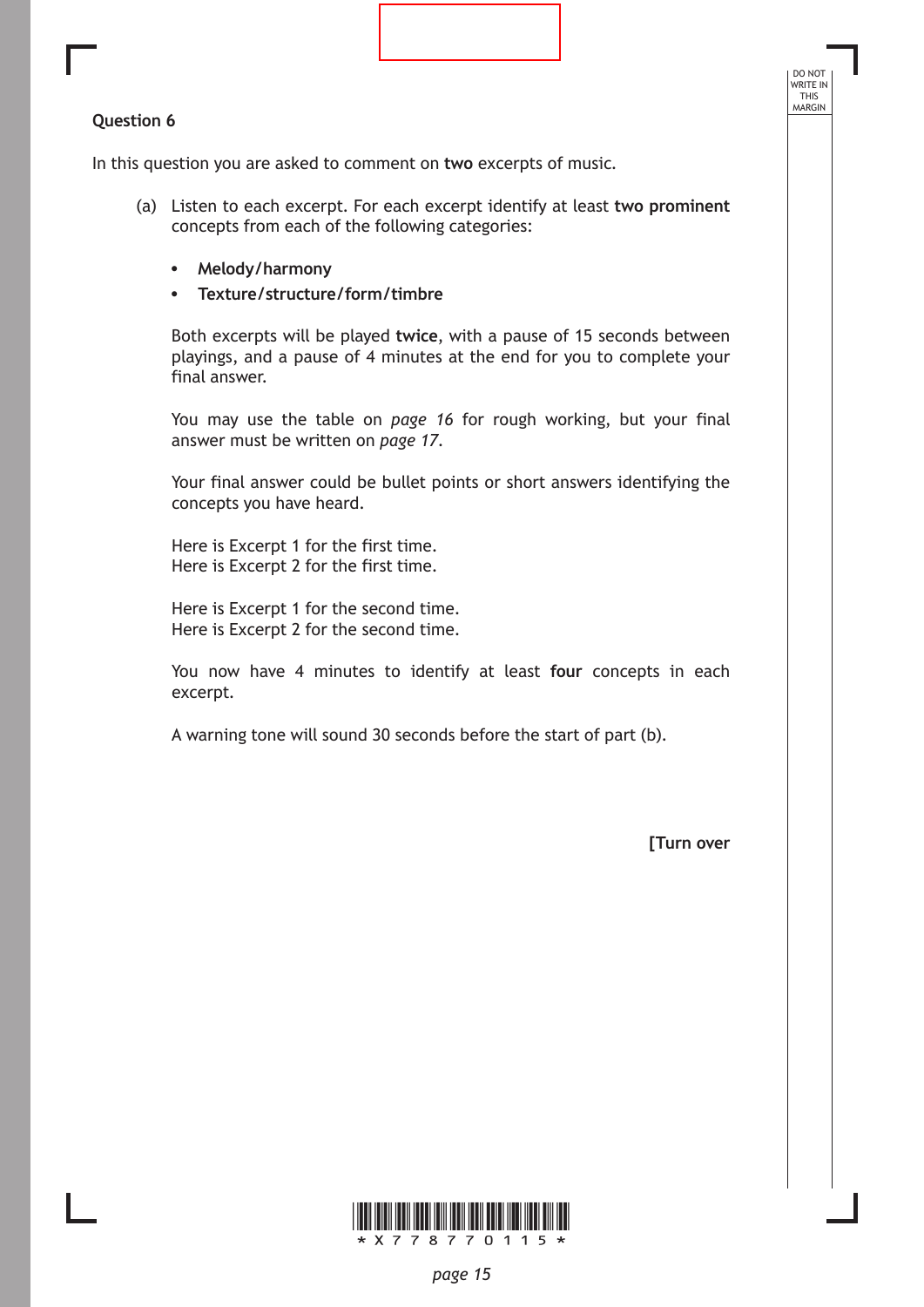### **Question 6**

In this question you are asked to comment on **two** excerpts of music.

- (a) Listen to each excerpt. For each excerpt identify at least **two prominent**  concepts from each of the following categories:
	- **• Melody/harmony**
	- **• Texture/structure/form/timbre**

Both excerpts will be played **twice**, with a pause of 15 seconds between playings, and a pause of 4 minutes at the end for you to complete your final answer.

You may use the table on *page 16* for rough working, but your final answer must be written on *page 17*.

Your final answer could be bullet points or short answers identifying the concepts you have heard.

Here is Excerpt 1 for the first time. Here is Excerpt 2 for the first time.

Here is Excerpt 1 for the second time. Here is Excerpt 2 for the second time.

You now have 4 minutes to identify at least **four** concepts in each excerpt.

A warning tone will sound 30 seconds before the start of part (b).

**[Turn over**

DO NOT WRITE IN THIS<br>MARGIN

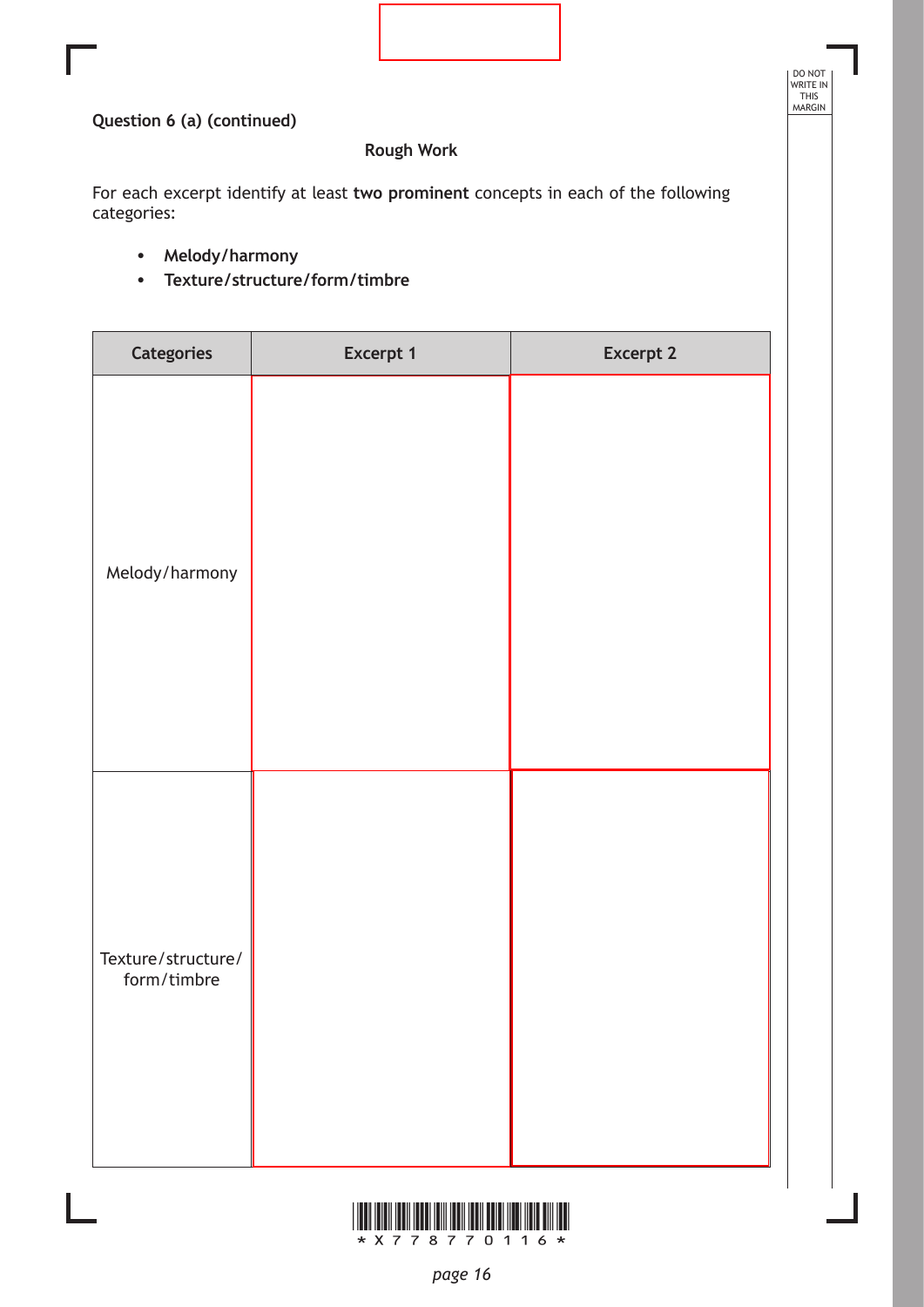DO NOT WRITE IN THIS MARGIN

# **Question 6 (a) (continued)**

# **Rough Work**

For each excerpt identify at least **two prominent** concepts in each of the following categories:

- **• Melody/harmony**
- **• Texture/structure/form/timbre**

| <b>Categories</b>                 | Excerpt 1 | <b>Excerpt 2</b> |
|-----------------------------------|-----------|------------------|
| Melody/harmony                    |           |                  |
| Texture/structure/<br>form/timbre |           |                  |

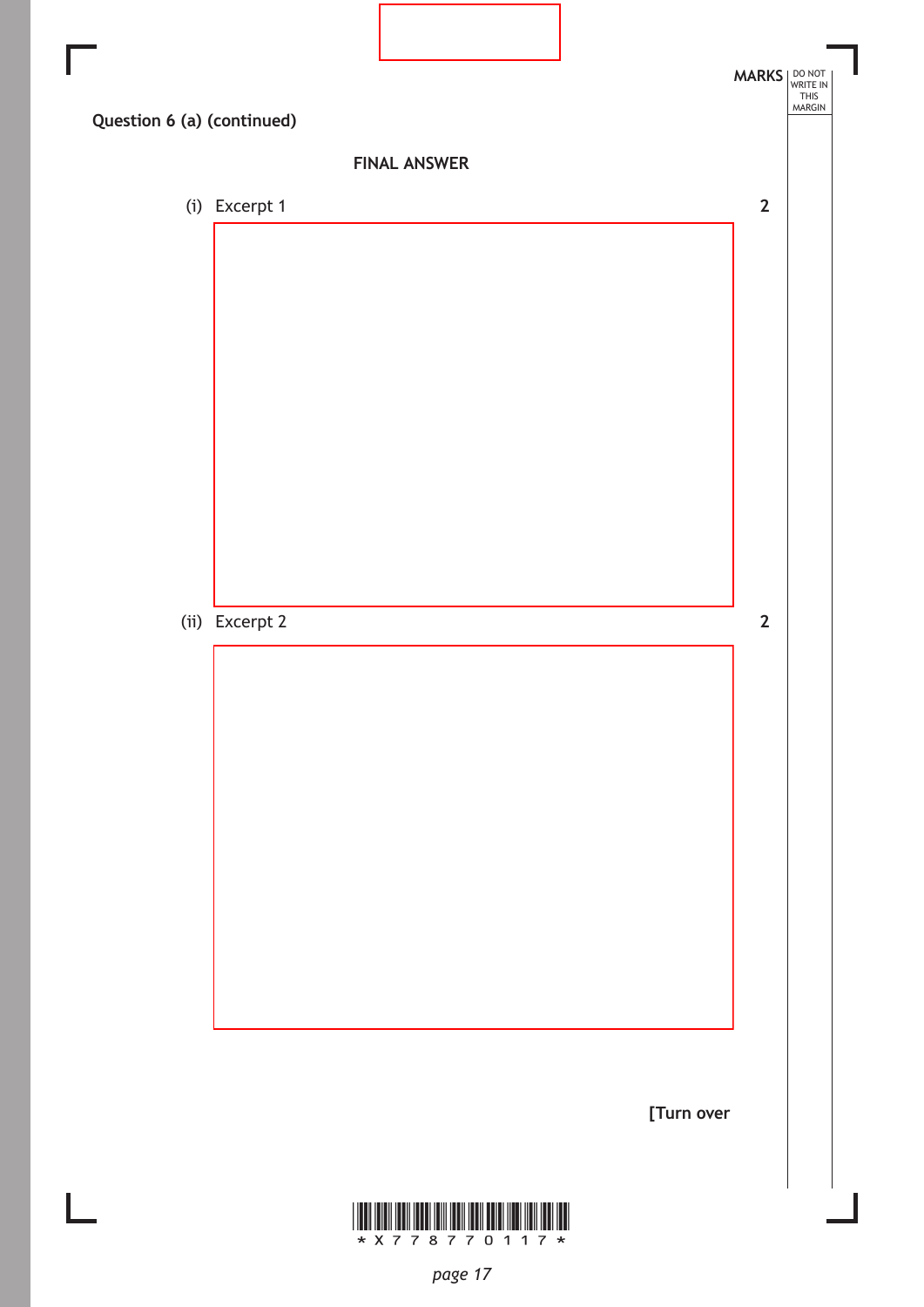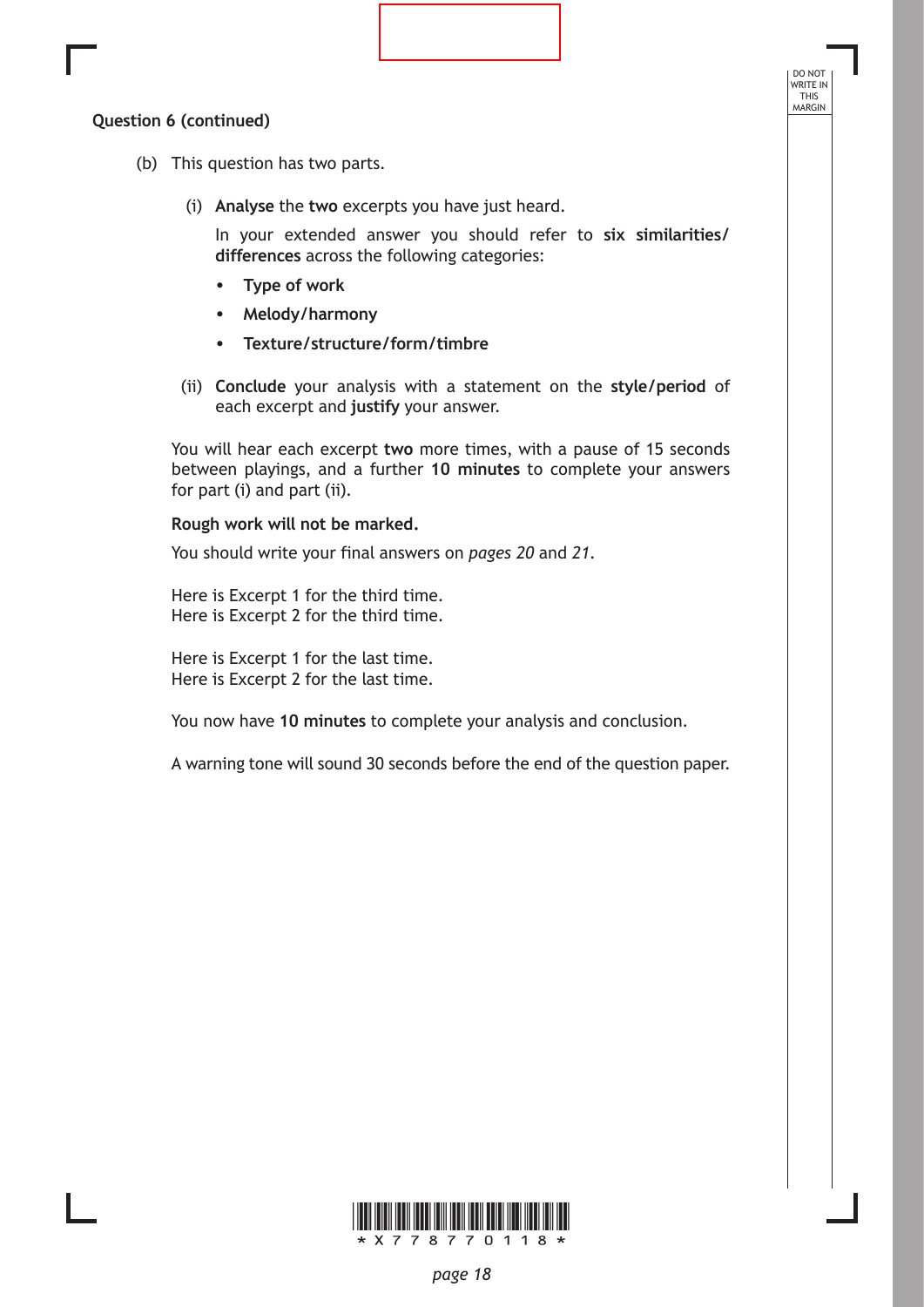# **Question 6 (continued)**

- (b) This question has two parts.
	- (i) **Analyse** the **two** excerpts you have just heard.

In your extended answer you should refer to **six similarities/ differences** across the following categories:

DO NOT WRITE IN THIS<br>MARGIN

- **• Type of work**
- **• Melody/harmony**
- **• Texture/structure/form/timbre**
- (ii) **Conclude** your analysis with a statement on the **style/period** of each excerpt and **justify** your answer.

You will hear each excerpt **two** more times, with a pause of 15 seconds between playings, and a further **10 minutes** to complete your answers for part (i) and part (ii).

#### **Rough work will not be marked.**

You should write your final answers on *pages 20* and *21*.

Here is Excerpt 1 for the third time. Here is Excerpt 2 for the third time.

Here is Excerpt 1 for the last time. Here is Excerpt 2 for the last time.

You now have **10 minutes** to complete your analysis and conclusion.

A warning tone will sound 30 seconds before the end of the question paper.

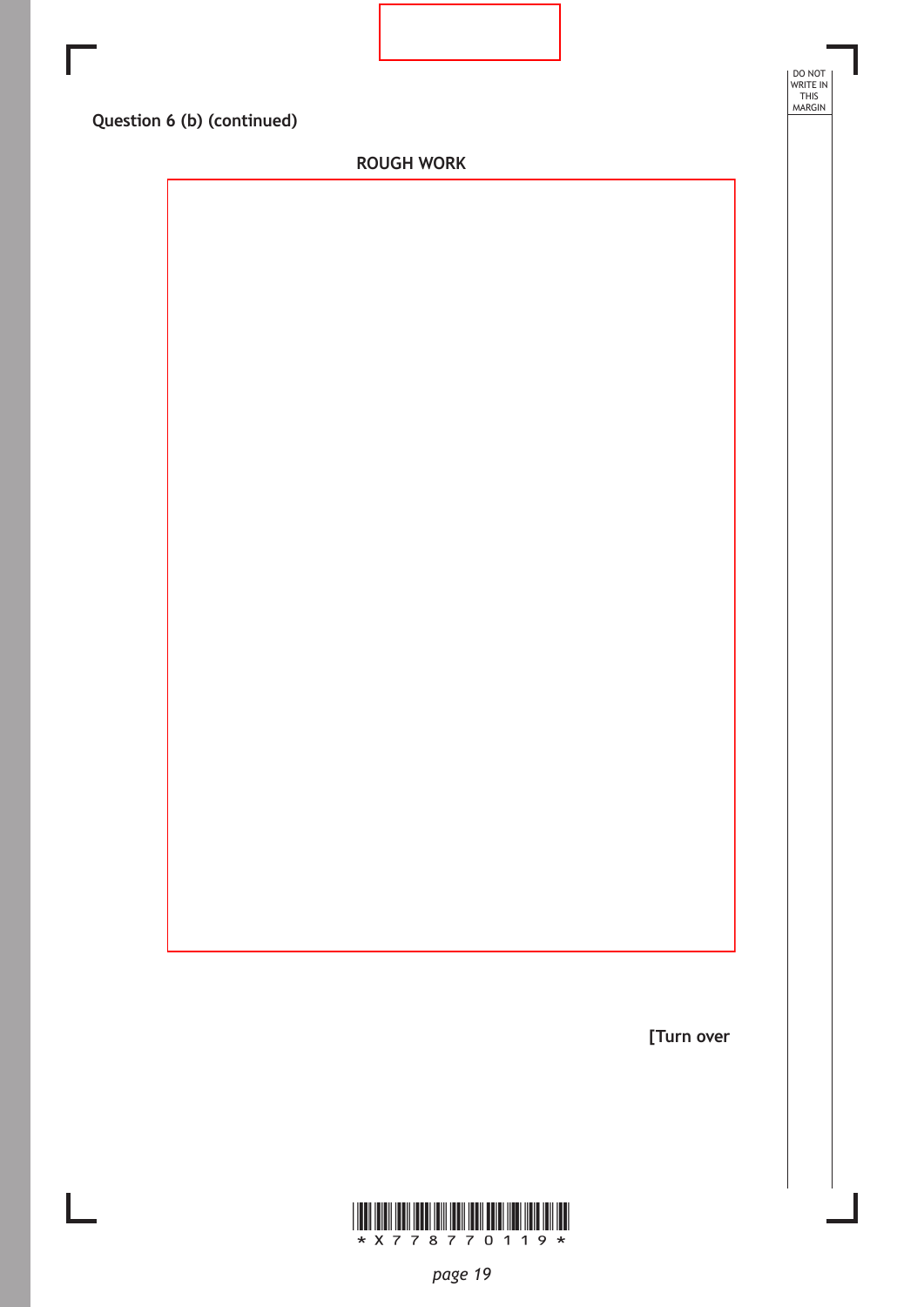| DO NOT<br>WRITE IN<br>THIS<br>MARGIN<br>Question 6 (b) (continued)<br><b>ROUGH WORK</b> |  |  |
|-----------------------------------------------------------------------------------------|--|--|
|                                                                                         |  |  |
|                                                                                         |  |  |
|                                                                                         |  |  |
|                                                                                         |  |  |
|                                                                                         |  |  |
|                                                                                         |  |  |
|                                                                                         |  |  |
|                                                                                         |  |  |
|                                                                                         |  |  |
|                                                                                         |  |  |
|                                                                                         |  |  |
|                                                                                         |  |  |
|                                                                                         |  |  |
|                                                                                         |  |  |
|                                                                                         |  |  |
|                                                                                         |  |  |
|                                                                                         |  |  |
|                                                                                         |  |  |
|                                                                                         |  |  |

**[Turn over**

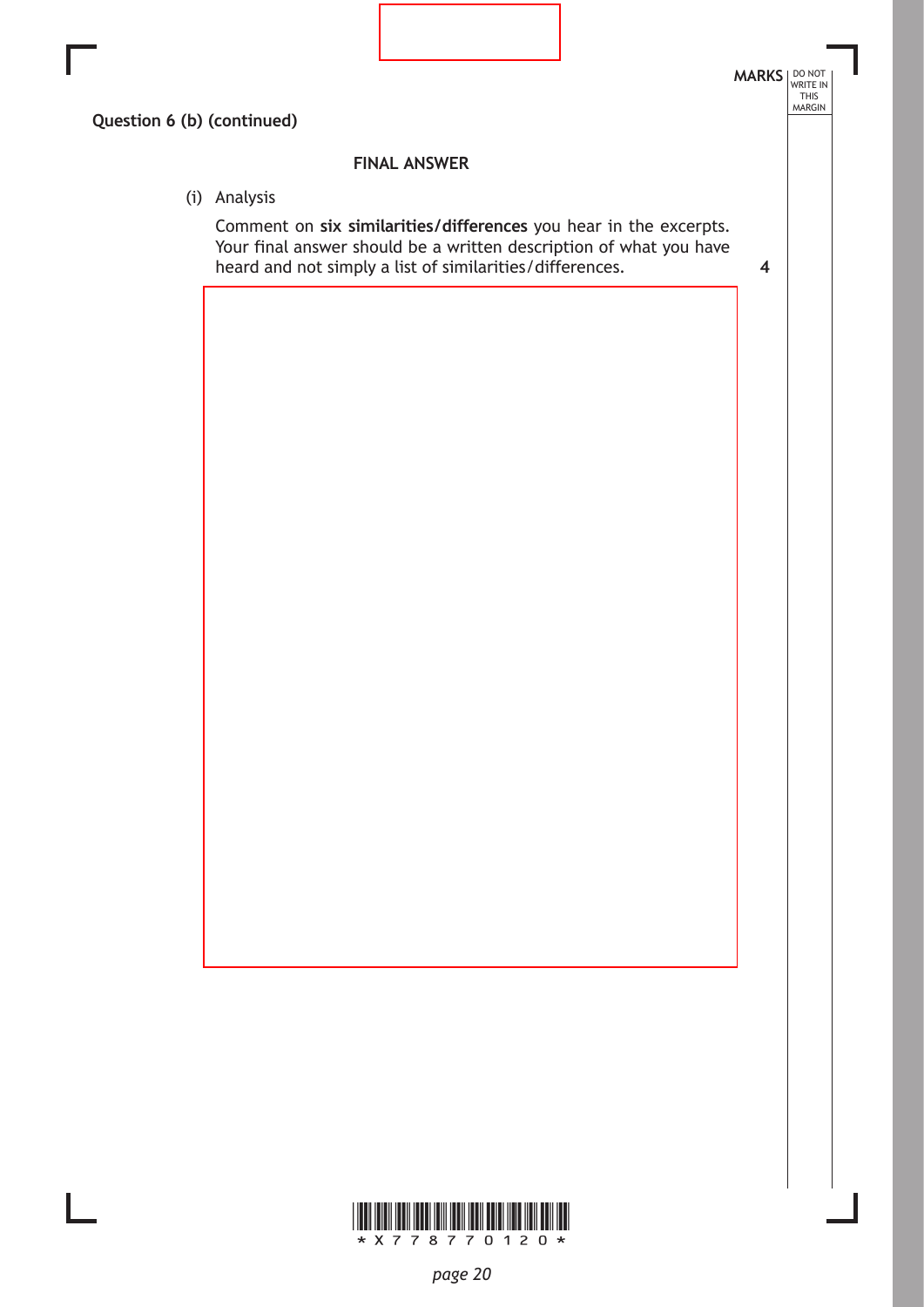

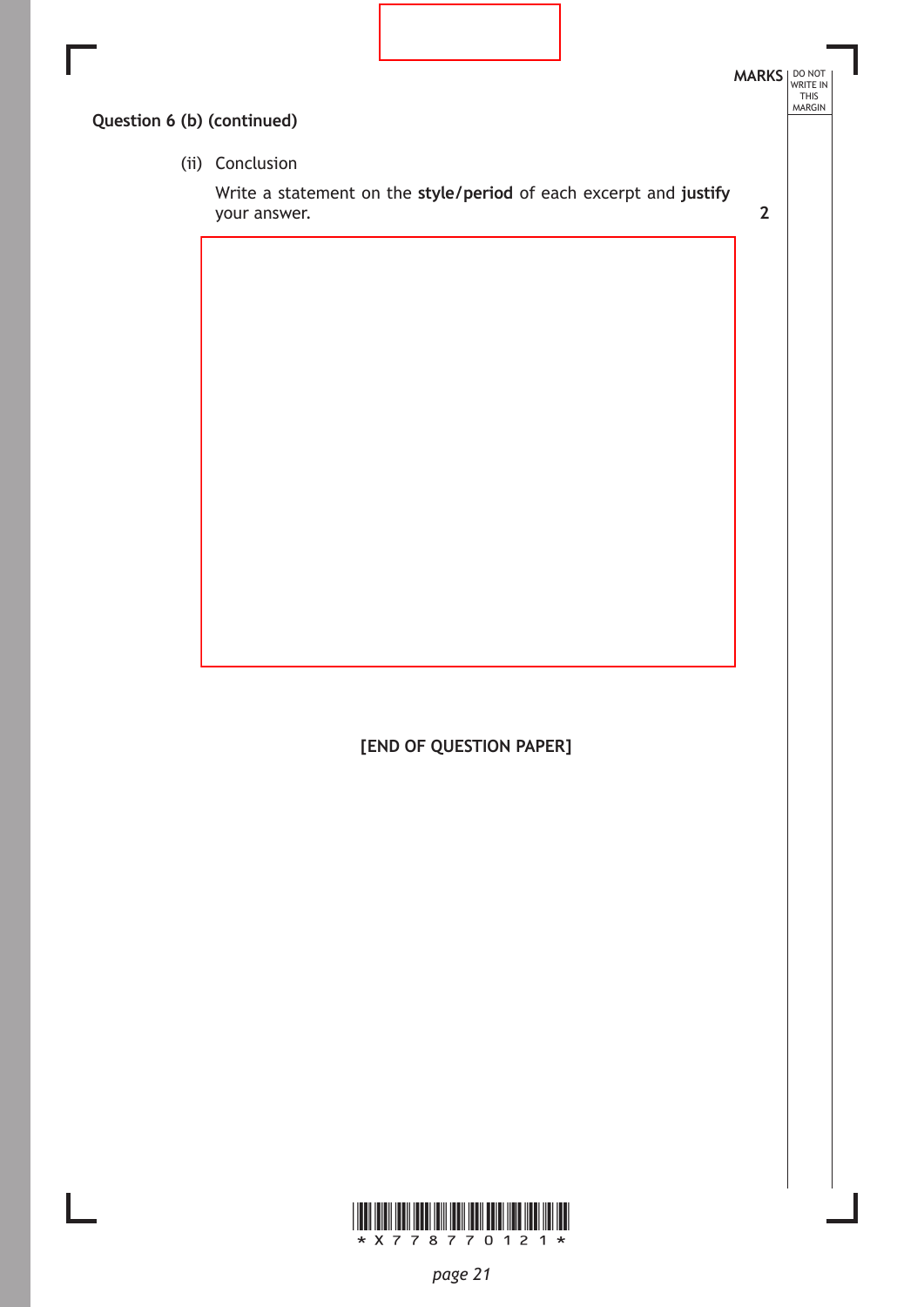

**[END OF QUESTION PAPER]**

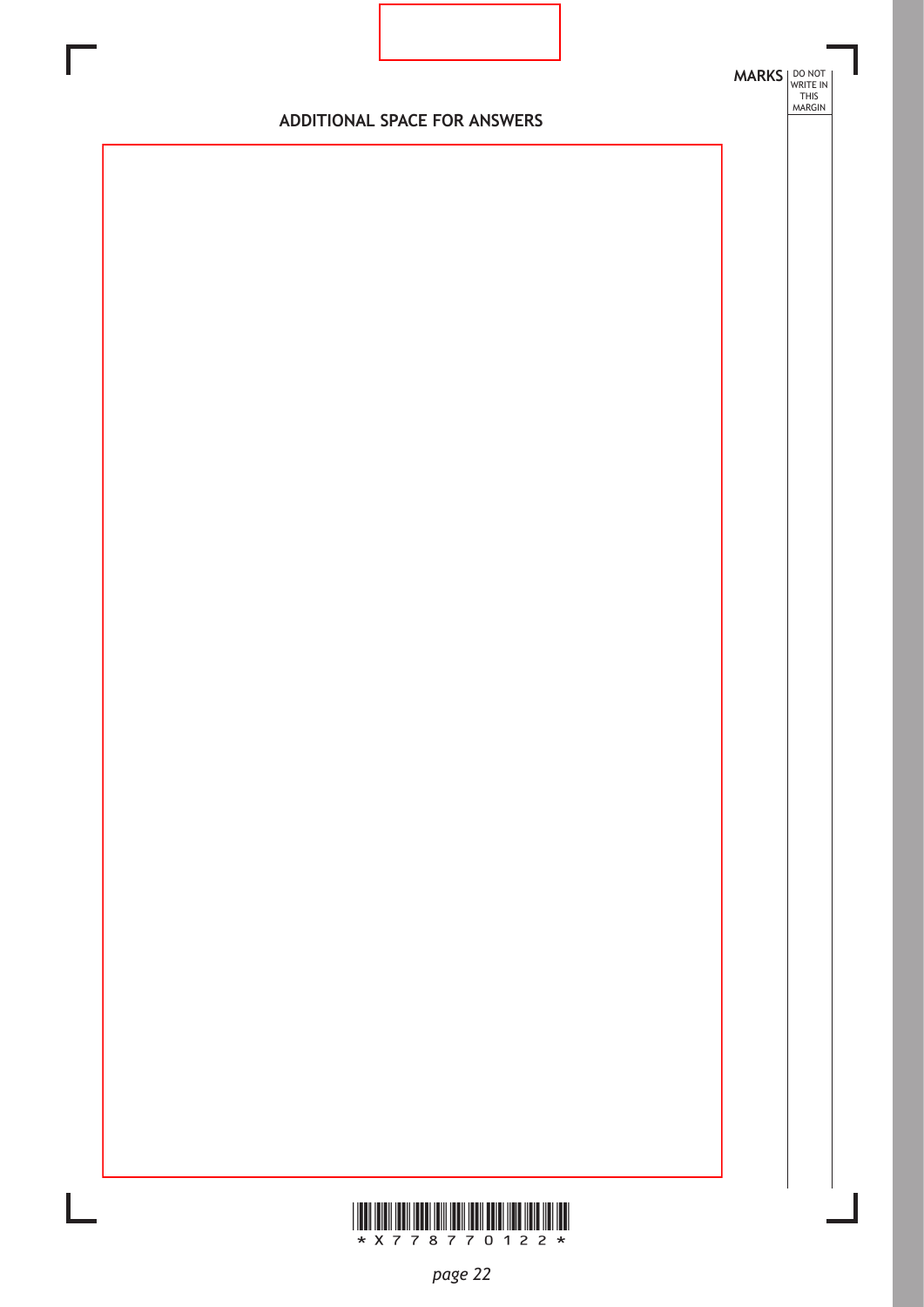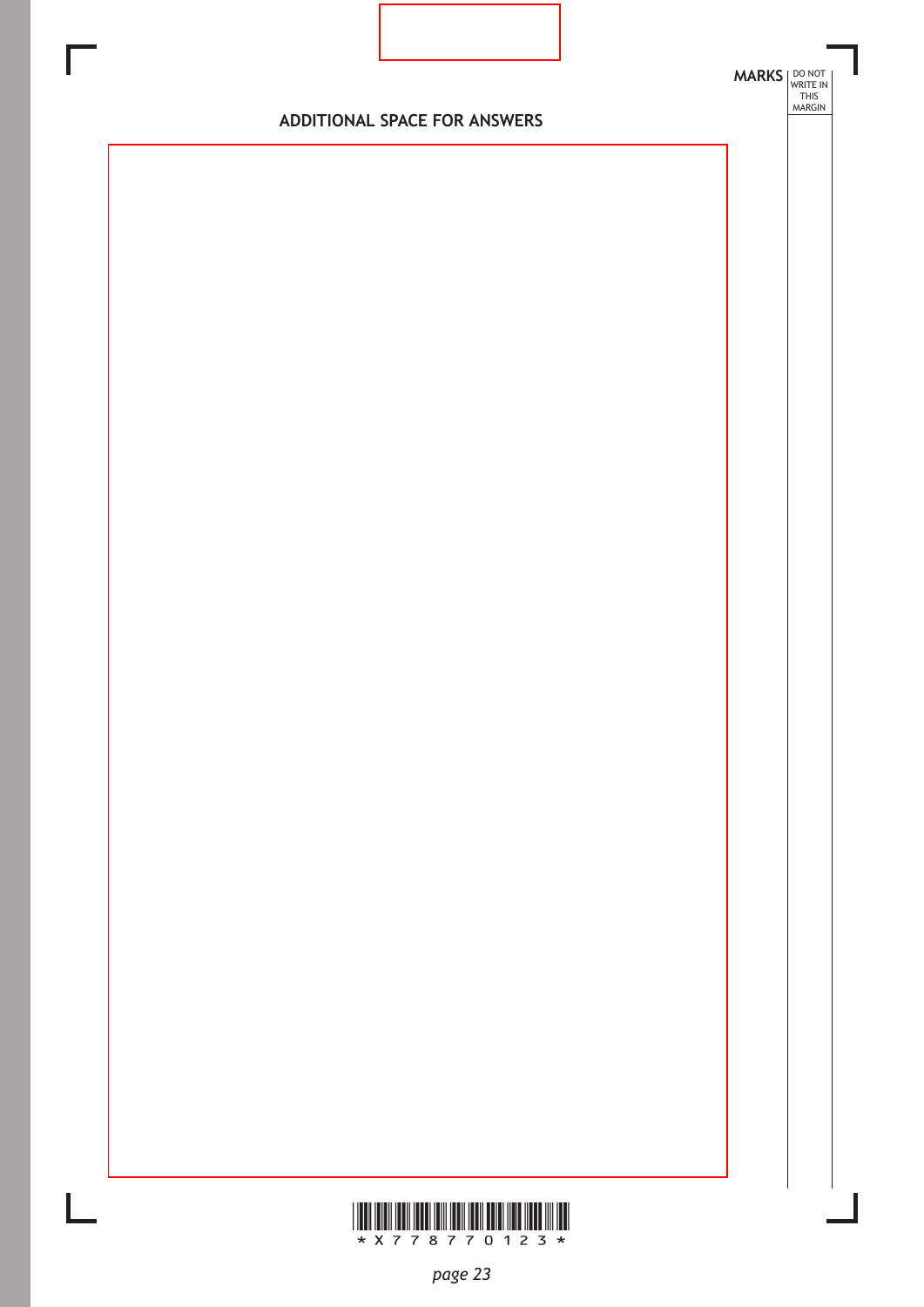